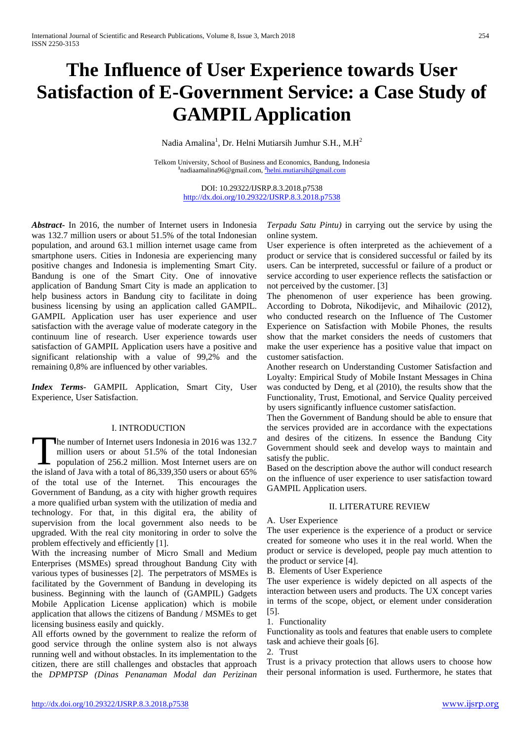# **The Influence of User Experience towards User Satisfaction of E-Government Service: a Case Study of GAMPILApplication**

Nadia Amalina<sup>1</sup>, Dr. Helni Mutiarsih Jumhur S.H., M.H<sup>2</sup>

Telkom University, School of Business and Economics, Bandung, Indonesia **1** nadiaamalina96@gmail.com, **<sup>2</sup>** [helni.mutiarsih@gmail.com](mailto:2helni.mutiarsih@gmail.com)

> DOI: 10.29322/IJSRP.8.3.2018.p7538 <http://dx.doi.org/10.29322/IJSRP.8.3.2018.p7538>

*Abstract***-** In 2016, the number of Internet users in Indonesia was 132.7 million users or about 51.5% of the total Indonesian population, and around 63.1 million internet usage came from smartphone users. Cities in Indonesia are experiencing many positive changes and Indonesia is implementing Smart City. Bandung is one of the Smart City. One of innovative application of Bandung Smart City is made an application to help business actors in Bandung city to facilitate in doing business licensing by using an application called GAMPIL. GAMPIL Application user has user experience and user satisfaction with the average value of moderate category in the continuum line of research. User experience towards user satisfaction of GAMPIL Application users have a positive and significant relationship with a value of 99,2% and the remaining 0,8% are influenced by other variables.

*Index Terms*- GAMPIL Application, Smart City, User Experience, User Satisfaction.

# I. INTRODUCTION

he number of Internet users Indonesia in 2016 was 132.7 million users or about 51.5% of the total Indonesian population of 256.2 million. Most Internet users are on The number of Internet users Indonesia in 2016 was 132.7 million users or about 51.5% of the total Indonesian population of 256.2 million. Most Internet users are on the island of Java with a total of 86,339,350 users or a of the total use of the Internet. This encourages the Government of Bandung, as a city with higher growth requires a more qualified urban system with the utilization of media and technology. For that, in this digital era, the ability of supervision from the local government also needs to be upgraded. With the real city monitoring in order to solve the problem effectively and efficiently [1].

With the increasing number of Micro Small and Medium Enterprises (MSMEs) spread throughout Bandung City with various types of businesses [2]. The perpetrators of MSMEs is facilitated by the Government of Bandung in developing its business. Beginning with the launch of (GAMPIL) Gadgets Mobile Application License application) which is mobile application that allows the citizens of Bandung / MSMEs to get licensing business easily and quickly.

All efforts owned by the government to realize the reform of good service through the online system also is not always running well and without obstacles. In its implementation to the citizen, there are still challenges and obstacles that approach the *DPMPTSP (Dinas Penanaman Modal dan Perizinan* 

*Terpadu Satu Pintu)* in carrying out the service by using the online system.

User experience is often interpreted as the achievement of a product or service that is considered successful or failed by its users. Can be interpreted, successful or failure of a product or service according to user experience reflects the satisfaction or not perceived by the customer. [3]

The phenomenon of user experience has been growing. According to Dobrota, Nikodijevic, and Mihailovic (2012), who conducted research on the Influence of The Customer Experience on Satisfaction with Mobile Phones, the results show that the market considers the needs of customers that make the user experience has a positive value that impact on customer satisfaction.

Another research on Understanding Customer Satisfaction and Loyalty: Empirical Study of Mobile Instant Messages in China was conducted by Deng, et al (2010), the results show that the Functionality, Trust, Emotional, and Service Quality perceived by users significantly influence customer satisfaction.

Then the Government of Bandung should be able to ensure that the services provided are in accordance with the expectations and desires of the citizens. In essence the Bandung City Government should seek and develop ways to maintain and satisfy the public.

Based on the description above the author will conduct research on the influence of user experience to user satisfaction toward GAMPIL Application users.

# II. LITERATURE REVIEW

#### A. User Experience

The user experience is the experience of a product or service created for someone who uses it in the real world. When the product or service is developed, people pay much attention to the product or service [4].

B. Elements of User Experience

The user experience is widely depicted on all aspects of the interaction between users and products. The UX concept varies in terms of the scope, object, or element under consideration [5].

1. Functionality

Functionality as tools and features that enable users to complete task and achieve their goals [6].

2. Trust

Trust is a privacy protection that allows users to choose how their personal information is used. Furthermore, he states that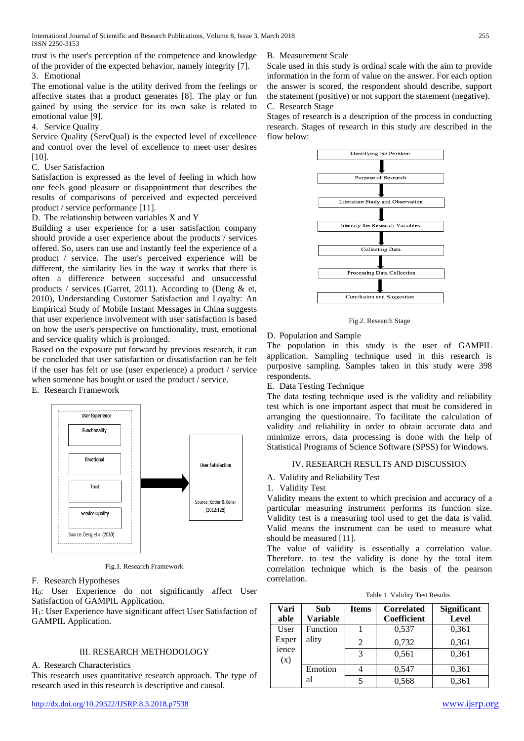trust is the user's perception of the competence and knowledge of the provider of the expected behavior, namely integrity [7]. 3. Emotional

The emotional value is the utility derived from the feelings or affective states that a product generates [8]. The play or fun gained by using the service for its own sake is related to emotional value [9].

4. Service Quality

Service Quality (ServQual) is the expected level of excellence and control over the level of excellence to meet user desires [10].

C. User Satisfaction

Satisfaction is expressed as the level of feeling in which how one feels good pleasure or disappointment that describes the results of comparisons of perceived and expected perceived product / service performance [11].

D. The relationship between variables X and Y

Building a user experience for a user satisfaction company should provide a user experience about the products / services offered. So, users can use and instantly feel the experience of a product / service. The user's perceived experience will be different, the similarity lies in the way it works that there is often a difference between successful and unsuccessful products / services (Garret, 2011). According to (Deng & et, 2010), Understanding Customer Satisfaction and Loyalty: An Empirical Study of Mobile Instant Messages in China suggests that user experience involvement with user satisfaction is based on how the user's perspective on functionality, trust, emotional and service quality which is prolonged.

Based on the exposure put forward by previous research, it can be concluded that user satisfaction or dissatisfaction can be felt if the user has felt or use (user experience) a product / service when someone has bought or used the product / service.

E. Research Framework



Fig.1. Research Framework

# F. Research Hypotheses

H0: User Experience do not significantly affect User Satisfaction of GAMPIL Application.

H1: User Experience have significant affect User Satisfaction of GAMPIL Application.

# III. RESEARCH METHODOLOGY

A. Research Characteristics

This research uses quantitative research approach. The type of research used in this research is descriptive and causal.

#### B. Measurement Scale

Scale used in this study is ordinal scale with the aim to provide information in the form of value on the answer. For each option the answer is scored, the respondent should describe, support the statement (positive) or not support the statement (negative). C. Research Stage

Stages of research is a description of the process in conducting research. Stages of research in this study are described in the flow below:



Fig.2. Research Stage

#### D. Population and Sample

The population in this study is the user of GAMPIL application. Sampling technique used in this research is purposive sampling. Samples taken in this study were 398 respondents.

E. Data Testing Technique

The data testing technique used is the validity and reliability test which is one important aspect that must be considered in arranging the questionnaire. To facilitate the calculation of validity and reliability in order to obtain accurate data and minimize errors, data processing is done with the help of Statistical Programs of Science Software (SPSS) for Windows.

# IV. RESEARCH RESULTS AND DISCUSSION

A. Validity and Reliability Test

1. Validity Test

Validity means the extent to which precision and accuracy of a particular measuring instrument performs its function size. Validity test is a measuring tool used to get the data is valid. Valid means the instrument can be used to measure what should be measured [11].

The value of validity is essentially a correlation value. Therefore. to test the validity is done by the total item correlation technique which is the basis of the pearson correlation.

| Vari         | Sub             | <b>Items</b> | <b>Correlated</b> | <b>Significant</b> |
|--------------|-----------------|--------------|-------------------|--------------------|
| able         | <b>Variable</b> |              | Coefficient       | <b>Level</b>       |
| User         | Function        |              | 0,537             | 0,361              |
| Exper        | ality           | 2            | 0,732             | 0,361              |
| ience<br>(x) |                 | 3            | 0,561             | 0,361              |
|              | Emotion         | 4            | 0,547             | 0,361              |
|              | al              | 5            | 0,568             | 0,361              |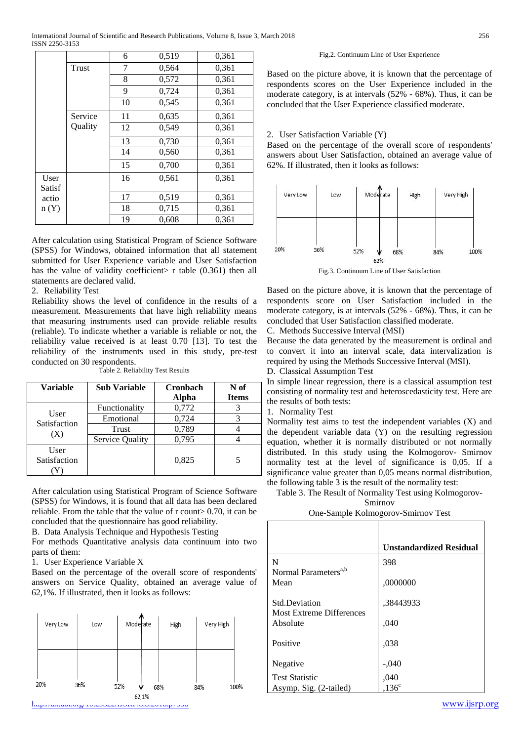International Journal of Scientific and Research Publications, Volume 8, Issue 3, March 2018 256 ISSN 2250-3153

|                |         | 6  | 0,519 | 0,361 |
|----------------|---------|----|-------|-------|
|                | Trust   | 7  | 0,564 | 0,361 |
|                |         | 8  | 0,572 | 0,361 |
|                |         | 9  | 0,724 | 0,361 |
|                |         | 10 | 0,545 | 0,361 |
|                | Service | 11 | 0,635 | 0,361 |
|                | Quality | 12 | 0,549 | 0,361 |
|                |         | 13 | 0,730 | 0,361 |
|                |         | 14 | 0,560 | 0,361 |
|                |         | 15 | 0,700 | 0,361 |
| User<br>Satisf |         | 16 | 0,561 | 0,361 |
| actio          |         | 17 | 0,519 | 0,361 |
| n(Y)           |         | 18 | 0,715 | 0,361 |
|                |         | 19 | 0,608 | 0,361 |

After calculation using Statistical Program of Science Software (SPSS) for Windows, obtained information that all statement submitted for User Experience variable and User Satisfaction has the value of validity coefficient  $\triangleright$  r table (0.361) then all statements are declared valid.

#### 2. Reliability Test

Reliability shows the level of confidence in the results of a measurement. Measurements that have high reliability means that measuring instruments used can provide reliable results (reliable). To indicate whether a variable is reliable or not, the reliability value received is at least 0.70 [13]. To test the reliability of the instruments used in this study, pre-test conducted on 30 respondents.

| <b>Variable</b>      | <b>Sub Variable</b> | <b>Cronbach</b> | N of         |
|----------------------|---------------------|-----------------|--------------|
|                      |                     | Alpha           | <b>Items</b> |
|                      | Functionality       | 0,772           |              |
| User<br>Satisfaction | Emotional           | 0,724           |              |
| (X)                  | Trust               | 0,789           |              |
|                      | Service Quality     | 0,795           |              |
| User                 |                     |                 |              |
| Satisfaction         |                     | 0,825           |              |
|                      |                     |                 |              |

Table 2. Reliability Test Results

After calculation using Statistical Program of Science Software (SPSS) for Windows, it is found that all data has been declared reliable. From the table that the value of r count> 0.70, it can be concluded that the questionnaire has good reliability.

B. Data Analysis Technique and Hypothesis Testing

For methods Quantitative analysis data continuum into two parts of them:

1. User Experience Variable X

Based on the percentage of the overall score of respondents' answers on Service Quality, obtained an average value of 62,1%. If illustrated, then it looks as follows:



#### Fig.2. Continuum Line of User Experience

Based on the picture above, it is known that the percentage of respondents scores on the User Experience included in the moderate category, is at intervals (52% - 68%). Thus, it can be concluded that the User Experience classified moderate.

#### 2. User Satisfaction Variable (Y)

Based on the percentage of the overall score of respondents' answers about User Satisfaction, obtained an average value of 62%. If illustrated, then it looks as follows:



Fig.3. Continuum Line of User Satisfaction

Based on the picture above, it is known that the percentage of respondents score on User Satisfaction included in the moderate category, is at intervals (52% - 68%). Thus, it can be concluded that User Satisfaction classified moderate.

C. Methods Successive Interval (MSI)

Because the data generated by the measurement is ordinal and to convert it into an interval scale, data intervalization is required by using the Methods Successive Interval (MSI).

D. Classical Assumption Test

In simple linear regression, there is a classical assumption test consisting of normality test and heteroscedasticity test. Here are the results of both tests:

1. Normality Test

Normality test aims to test the independent variables (X) and the dependent variable data (Y) on the resulting regression equation, whether it is normally distributed or not normally distributed. In this study using the Kolmogorov- Smirnov normality test at the level of significance is 0,05. If a significance value greater than 0,05 means normal distribution, the following table 3 is the result of the normality test:

Table 3. The Result of Normality Test using Kolmogorov-Smirnov

One-Sample Kolmogorov-Smirnov Test

|                                                         | <b>Unstandardized Residual</b> |
|---------------------------------------------------------|--------------------------------|
| N<br>Normal Parameters <sup>a,b</sup>                   | 398                            |
| Mean                                                    | ,0000000                       |
| <b>Std.Deviation</b><br><b>Most Extreme Differences</b> | .38443933                      |
| Absolute                                                | ,040                           |
| Positive                                                | ,038                           |
| Negative                                                | $-.040$                        |
| <b>Test Statistic</b>                                   | ,040                           |
| Asymp. Sig. (2-tailed)                                  | .136 <sup>c</sup>              |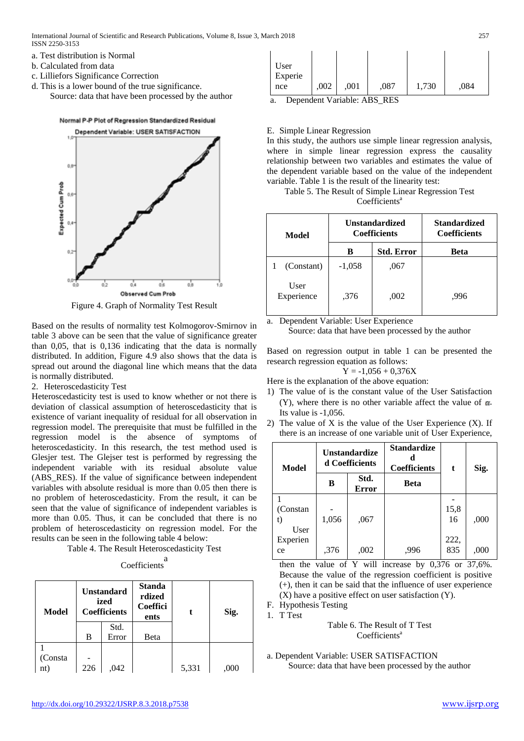- a. Test distribution is Normal
- b. Calculated from data
- c. Lilliefors Significance Correction
- d. This is a lower bound of the true significance. Source: data that have been processed by the author



Figure 4. Graph of Normality Test Result

Based on the results of normality test Kolmogorov-Smirnov in table 3 above can be seen that the value of significance greater than 0,05, that is 0,136 indicating that the data is normally distributed. In addition, Figure 4.9 also shows that the data is spread out around the diagonal line which means that the data is normally distributed.

2. Heteroscedasticity Test

Heteroscedasticity test is used to know whether or not there is deviation of classical assumption of heteroscedasticity that is existence of variant inequality of residual for all observation in regression model. The prerequisite that must be fulfilled in the regression model is the absence of symptoms of heteroscedasticity. In this research, the test method used is Glesjer test. The Glejser test is performed by regressing the independent variable with its residual absolute value (ABS\_RES). If the value of significance between independent variables with absolute residual is more than 0.05 then there is no problem of heteroscedasticity. From the result, it can be seen that the value of significance of independent variables is more than 0.05. Thus, it can be concluded that there is no problem of heteroscedasticity on regression model. For the results can be seen in the following table 4 below:

Table 4. The Result Heteroscedasticity Test

| Coefficients |  |
|--------------|--|

| <b>Model</b> | <b>Unstandard</b><br>ized<br><b>Coefficients</b> |       | <b>Standa</b><br>rdized<br>Coeffici<br>ents |       | Sig. |
|--------------|--------------------------------------------------|-------|---------------------------------------------|-------|------|
|              |                                                  | Std.  |                                             |       |      |
|              | B                                                | Error | Beta                                        |       |      |
|              |                                                  |       |                                             |       |      |
| (Consta      |                                                  |       |                                             |       |      |
| nt)          | 226                                              | .042  |                                             | 5,331 | ,000 |

| .002<br>,001<br>1,730<br>,087<br>,084<br>nce |
|----------------------------------------------|
|----------------------------------------------|

a. Dependent Variable: ABS\_RES

# E. Simple Linear Regression

In this study, the authors use simple linear regression analysis, where in simple linear regression express the causality relationship between two variables and estimates the value of the dependent variable based on the value of the independent variable. Table 1 is the result of the linearity test:

Table 5. The Result of Simple Linear Regression Test Coefficients<sup>a</sup>

| Model              |          | <b>Unstandardized</b><br><b>Coefficients</b> | <b>Standardized</b><br><b>Coefficients</b> |  |
|--------------------|----------|----------------------------------------------|--------------------------------------------|--|
|                    | в        | <b>Std. Error</b>                            | <b>Beta</b>                                |  |
| (Constant)         | $-1,058$ | .067                                         |                                            |  |
| User<br>Experience | ,376     | ,002                                         | .996                                       |  |

a. Dependent Variable: User Experience

Source: data that have been processed by the author

Based on regression output in table 1 can be presented the research regression equation as follows:

$$
Y = -1,056 + 0,376X
$$

Here is the explanation of the above equation:

- 1) The value of is the constant value of the User Satisfaction (Y), where there is no other variable affect the value of  $\alpha$ . Its value is -1,056.
- 2) The value of X is the value of the User Experience  $(X)$ . If there is an increase of one variable unit of User Experience,

| <b>Model</b>           | <b>Unstandardize</b><br>d Coefficients |                      | <b>Standardize</b><br><b>Coefficients</b> | t           | Sig. |
|------------------------|----------------------------------------|----------------------|-------------------------------------------|-------------|------|
|                        | в                                      | Std.<br><b>Error</b> | Beta                                      |             |      |
| (Constan<br>t)<br>User | 1,056                                  | ,067                 |                                           | 15,8<br>16  | ,000 |
| Experien<br>ce         | ,376                                   | ,002                 | .996                                      | 222,<br>835 | ,000 |

then the value of Y will increase by 0,376 or 37,6%. Because the value of the regression coefficient is positive (+), then it can be said that the influence of user experience (X) have a positive effect on user satisfaction (Y).

F. Hypothesis Testing

1. T Test

Table 6. The Result of T Test Coefficients<sup>a</sup>

a. Dependent Variable: USER SATISFACTION Source: data that have been processed by the author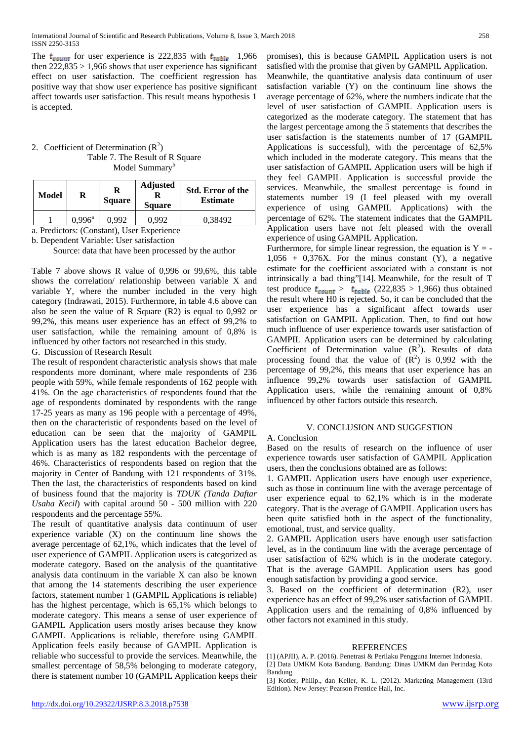The  $t_{count}$  for user experience is 222,835 with  $t_{table}$  1,966 then  $222,835 > 1,966$  shows that user experience has significant effect on user satisfaction. The coefficient regression has positive way that show user experience has positive significant affect towards user satisfaction. This result means hypothesis 1 is accepted.

# 2. Coefficient of Determination  $(R^2)$ Table 7. The Result of R Square Model Summary<sup>b</sup>

| Model | R               | R<br><b>Square</b> | <b>Adjusted</b><br><b>Square</b> | <b>Std. Error of the</b><br><b>Estimate</b> |
|-------|-----------------|--------------------|----------------------------------|---------------------------------------------|
|       | $0.996^{\rm a}$ | በ 992              | 0.992                            | 0.38492                                     |

a. Predictors: (Constant), User Experience

b. Dependent Variable: User satisfaction

Source: data that have been processed by the author

Table 7 above shows R value of 0,996 or 99,6%, this table shows the correlation/ relationship between variable X and variable Y, where the number included in the very high category (Indrawati, 2015). Furthermore, in table 4.6 above can also be seen the value of R Square (R2) is equal to 0,992 or 99,2%, this means user experience has an effect of 99,2% to user satisfaction, while the remaining amount of 0,8% is influenced by other factors not researched in this study.

# G. Discussion of Research Result

The result of respondent characteristic analysis shows that male respondents more dominant, where male respondents of 236 people with 59%, while female respondents of 162 people with 41%. On the age characteristics of respondents found that the age of respondents dominated by respondents with the range 17-25 years as many as 196 people with a percentage of 49%, then on the characteristic of respondents based on the level of education can be seen that the majority of GAMPIL Application users has the latest education Bachelor degree, which is as many as 182 respondents with the percentage of 46%. Characteristics of respondents based on region that the majority in Center of Bandung with 121 respondents of 31%. Then the last, the characteristics of respondents based on kind of business found that the majority is *TDUK (Tanda Daftar Usaha Kecil*) with capital around 50 - 500 million with 220 respondents and the percentage 55%.

The result of quantitative analysis data continuum of user experience variable  $(X)$  on the continuum line shows the average percentage of 62,1%, which indicates that the level of user experience of GAMPIL Application users is categorized as moderate category. Based on the analysis of the quantitative analysis data continuum in the variable X can also be known that among the 14 statements describing the user experience factors, statement number 1 (GAMPIL Applications is reliable) has the highest percentage, which is 65,1% which belongs to moderate category. This means a sense of user experience of GAMPIL Application users mostly arises because they know GAMPIL Applications is reliable, therefore using GAMPIL Application feels easily because of GAMPIL Application is reliable who successful to provide the services. Meanwhile, the smallest percentage of 58,5% belonging to moderate category, there is statement number 10 (GAMPIL Application keeps their promises), this is because GAMPIL Application users is not satisfied with the promise that given by GAMPIL Application. Meanwhile, the quantitative analysis data continuum of user satisfaction variable (Y) on the continuum line shows the average percentage of 62%, where the numbers indicate that the level of user satisfaction of GAMPIL Application users is categorized as the moderate category. The statement that has the largest percentage among the 5 statements that describes the user satisfaction is the statements number of 17 (GAMPIL Applications is successful), with the percentage of 62,5% which included in the moderate category. This means that the user satisfaction of GAMPIL Application users will be high if they feel GAMPIL Application is successful provide the services. Meanwhile, the smallest percentage is found in statements number 19 (I feel pleased with my overall experience of using GAMPIL Applications) with the percentage of 62%. The statement indicates that the GAMPIL Application users have not felt pleased with the overall experience of using GAMPIL Application.

Furthermore, for simple linear regression, the equation is  $Y = 1,056 + 0,376X$ . For the minus constant (Y), a negative estimate for the coefficient associated with a constant is not intrinsically a bad thing"[14]. Meanwhile, for the result of T test produce  $t_{count} > t_{table}$  (222,835 > 1,966) thus obtained the result where H0 is rejected. So, it can be concluded that the user experience has a significant affect towards user satisfaction on GAMPIL Application. Then, to find out how much influence of user experience towards user satisfaction of GAMPIL Application users can be determined by calculating Coefficient of Determination value  $(R^2)$ . Results of data processing found that the value of  $(R^2)$  is 0,992 with the percentage of 99,2%, this means that user experience has an influence 99,2% towards user satisfaction of GAMPIL Application users, while the remaining amount of 0,8% influenced by other factors outside this research.

# V. CONCLUSION AND SUGGESTION

# A. Conclusion

Based on the results of research on the influence of user experience towards user satisfaction of GAMPIL Application users, then the conclusions obtained are as follows:

1. GAMPIL Application users have enough user experience, such as those in continuum line with the average percentage of user experience equal to 62,1% which is in the moderate category. That is the average of GAMPIL Application users has been quite satisfied both in the aspect of the functionality, emotional, trust, and service quality.

2. GAMPIL Application users have enough user satisfaction level, as in the continuum line with the average percentage of user satisfaction of 62% which is in the moderate category. That is the average GAMPIL Application users has good enough satisfaction by providing a good service.

3. Based on the coefficient of determination (R2), user experience has an effect of 99,2% user satisfaction of GAMPIL Application users and the remaining of 0,8% influenced by other factors not examined in this study.

#### REFERENCES

[1] (APJII), A. P. (2016). Penetrasi & Perilaku Pengguna Internet Indonesia. [2] Data UMKM Kota Bandung. Bandung: Dinas UMKM dan Perindag Kota Bandung

[3] Kotler, Philip., dan Keller, K. L. (2012). Marketing Management (13rd Edition). New Jersey: Pearson Prentice Hall, Inc.